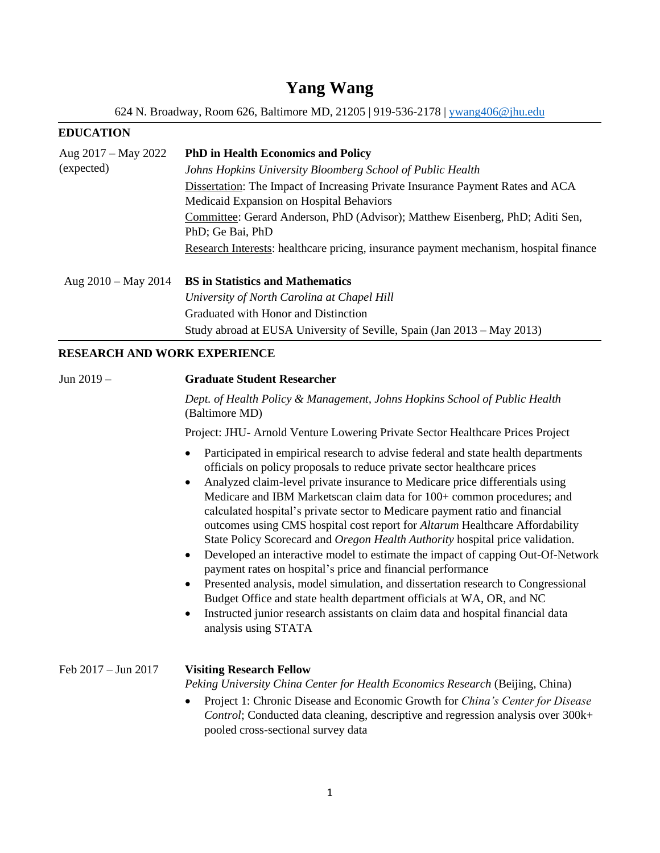# **Yang Wang**

624 N. Broadway, Room 626, Baltimore MD, 21205 | 919-536-2178 | [ywang406@jhu.edu](mailto:ywang406@jhu.edu)

# **EDUCATION**

| Aug 2017 – May 2022   | <b>PhD</b> in Health Economics and Policy                                                                                  |  |  |  |
|-----------------------|----------------------------------------------------------------------------------------------------------------------------|--|--|--|
| (expected)            | Johns Hopkins University Bloomberg School of Public Health                                                                 |  |  |  |
|                       | Dissertation: The Impact of Increasing Private Insurance Payment Rates and ACA<br>Medicaid Expansion on Hospital Behaviors |  |  |  |
|                       | Committee: Gerard Anderson, PhD (Advisor); Matthew Eisenberg, PhD; Aditi Sen,<br>PhD; Ge Bai, PhD                          |  |  |  |
|                       | Research Interests: healthcare pricing, insurance payment mechanism, hospital finance                                      |  |  |  |
| Aug $2010 -$ May 2014 | <b>BS</b> in Statistics and Mathematics                                                                                    |  |  |  |
|                       | University of North Carolina at Chapel Hill                                                                                |  |  |  |
|                       | Graduated with Honor and Distinction                                                                                       |  |  |  |
|                       | Study abroad at EUSA University of Seville, Spain (Jan 2013 – May 2013)                                                    |  |  |  |

# **RESEARCH AND WORK EXPERIENCE**

| Jun $2019 -$                  | <b>Graduate Student Researcher</b>                                                                                                                                                                                                                                                                                                                                                                                                                                                                                                                                                                                                                                                                                                                                                                                                                                                                                                                                                                                                                                         |  |  |  |  |
|-------------------------------|----------------------------------------------------------------------------------------------------------------------------------------------------------------------------------------------------------------------------------------------------------------------------------------------------------------------------------------------------------------------------------------------------------------------------------------------------------------------------------------------------------------------------------------------------------------------------------------------------------------------------------------------------------------------------------------------------------------------------------------------------------------------------------------------------------------------------------------------------------------------------------------------------------------------------------------------------------------------------------------------------------------------------------------------------------------------------|--|--|--|--|
|                               | Dept. of Health Policy & Management, Johns Hopkins School of Public Health<br>(Baltimore MD)<br>Project: JHU- Arnold Venture Lowering Private Sector Healthcare Prices Project                                                                                                                                                                                                                                                                                                                                                                                                                                                                                                                                                                                                                                                                                                                                                                                                                                                                                             |  |  |  |  |
|                               |                                                                                                                                                                                                                                                                                                                                                                                                                                                                                                                                                                                                                                                                                                                                                                                                                                                                                                                                                                                                                                                                            |  |  |  |  |
|                               | Participated in empirical research to advise federal and state health departments<br>$\bullet$<br>officials on policy proposals to reduce private sector healthcare prices<br>Analyzed claim-level private insurance to Medicare price differentials using<br>$\bullet$<br>Medicare and IBM Marketscan claim data for 100+ common procedures; and<br>calculated hospital's private sector to Medicare payment ratio and financial<br>outcomes using CMS hospital cost report for <i>Altarum</i> Healthcare Affordability<br>State Policy Scorecard and Oregon Health Authority hospital price validation.<br>Developed an interactive model to estimate the impact of capping Out-Of-Network<br>$\bullet$<br>payment rates on hospital's price and financial performance<br>Presented analysis, model simulation, and dissertation research to Congressional<br>$\bullet$<br>Budget Office and state health department officials at WA, OR, and NC<br>Instructed junior research assistants on claim data and hospital financial data<br>$\bullet$<br>analysis using STATA |  |  |  |  |
| Feb $2017 - \text{Jun } 2017$ | <b>Visiting Research Fellow</b><br>Peking University China Center for Health Economics Research (Beijing, China)<br>Project 1: Chronic Disease and Economic Growth for China's Center for Disease<br>$\bullet$<br>Control; Conducted data cleaning, descriptive and regression analysis over 300k+<br>pooled cross-sectional survey data                                                                                                                                                                                                                                                                                                                                                                                                                                                                                                                                                                                                                                                                                                                                   |  |  |  |  |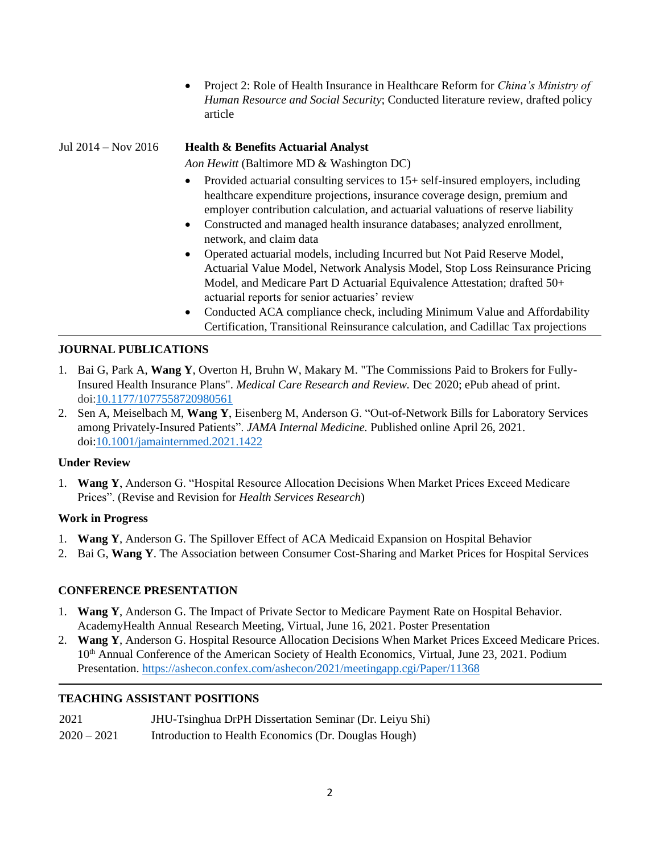• Project 2: Role of Health Insurance in Healthcare Reform for *China's Ministry of Human Resource and Social Security*; Conducted literature review, drafted policy article

## Jul 2014 – Nov 2016 **Health & Benefits Actuarial Analyst**

*Aon Hewitt* (Baltimore MD & Washington DC)

- Provided actuarial consulting services to 15+ self-insured employers, including healthcare expenditure projections, insurance coverage design, premium and employer contribution calculation, and actuarial valuations of reserve liability
- Constructed and managed health insurance databases; analyzed enrollment, network, and claim data
- Operated actuarial models, including Incurred but Not Paid Reserve Model, Actuarial Value Model, Network Analysis Model, Stop Loss Reinsurance Pricing Model, and Medicare Part D Actuarial Equivalence Attestation; drafted 50+ actuarial reports for senior actuaries' review
- Conducted ACA compliance check, including Minimum Value and Affordability Certification, Transitional Reinsurance calculation, and Cadillac Tax projections

#### **JOURNAL PUBLICATIONS**

- 1. Bai G, Park A, **Wang Y**, Overton H, Bruhn W, Makary M. "The Commissions Paid to Brokers for Fully-Insured Health Insurance Plans". *Medical Care Research and Review.* Dec 2020; ePub ahead of print. doi[:10.1177/1077558720980561](https://doi.org/10.1177/1077558720980561)
- 2. Sen A, Meiselbach M, **Wang Y**, Eisenberg M, Anderson G. "Out-of-Network Bills for Laboratory Services among Privately-Insured Patients". *JAMA Internal Medicine.* Published online April 26, 2021. doi[:10.1001/jamainternmed.2021.1422](https://jamanetwork.com/journals/jamainternalmedicine/article-abstract/2779290)

#### **Under Review**

1. **Wang Y**, Anderson G. "Hospital Resource Allocation Decisions When Market Prices Exceed Medicare Prices". (Revise and Revision for *Health Services Research*)

#### **Work in Progress**

- 1. **Wang Y**, Anderson G. The Spillover Effect of ACA Medicaid Expansion on Hospital Behavior
- 2. Bai G, **Wang Y**. The Association between Consumer Cost-Sharing and Market Prices for Hospital Services

#### **CONFERENCE PRESENTATION**

- 1. **Wang Y**, Anderson G. The Impact of Private Sector to Medicare Payment Rate on Hospital Behavior. AcademyHealth Annual Research Meeting, Virtual, June 16, 2021. Poster Presentation
- 2. **Wang Y**, Anderson G. Hospital Resource Allocation Decisions When Market Prices Exceed Medicare Prices. 10<sup>th</sup> Annual Conference of the American Society of Health Economics, Virtual, June 23, 2021. Podium Presentation. <https://ashecon.confex.com/ashecon/2021/meetingapp.cgi/Paper/11368>

#### **TEACHING ASSISTANT POSITIONS**

| 2021          | JHU-Tsinghua DrPH Dissertation Seminar (Dr. Leiyu Shi) |
|---------------|--------------------------------------------------------|
| $2020 - 2021$ | Introduction to Health Economics (Dr. Douglas Hough)   |